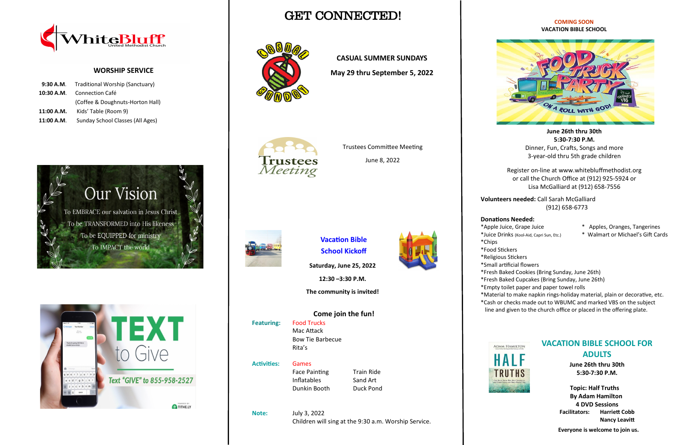GET CONNECTED!



#### **COMING SOON VACATION BIBLE SCHOOL**

**June 26th thru 30th 5:30-7:30 P.M.** Dinner, Fun, Crafts, Songs and more 3-year-old thru 5th grade children

Register on-line at www.whitebluffmethodist.org or call the Church Office at (912) 925-5924 or Lisa McGalliard at (912) 658-7556

**Volunteers needed:** Call Sarah McGalliard (912) 658-6773

### **Donations Needed:**

- \*Apple Juice, Grape Juice \* Apples, Oranges, Tangerines
- \*Juice Drinks (Kool-Aid, Capri Sun, Etc.) \* Walmart or Michael's Gift Cards

- 
- \*Chips
- \*Food Stickers
- 
- 
- 
- 
- 
- 



\*Religious Stickers

\*Small artificial flowers

\*Fresh Baked Cookies (Bring Sunday, June 26th)

\*Fresh Baked Cupcakes (Bring Sunday, June 26th)

\*Empty toilet paper and paper towel rolls

\*Material to make napkin rings-holiday material, plain or decorative, etc.

Face Painting Train Ride Inflatables Sand Art Dunkin Booth Duck Pond

\*Cash or checks made out to WBUMC and marked VBS on the subject line and given to the church office or placed in the offering plate.



### **WORSHIP SERVICE**

**Our Vision** 

To EMBRACE our salvation in Jesus Christ

To be TRANSFORMED into His likeness

To be EQUIPPED for ministry

To IMPACT the world

| 9:30 A.M. Traditional Worship (Sanctuary) |  |  |
|-------------------------------------------|--|--|
| Connection Café                           |  |  |
| (Coffee & Doughnuts-Horton Hall)          |  |  |
| Kids' Table (Room 9)                      |  |  |
| Sunday School Classes (All Ages)          |  |  |
|                                           |  |  |



TITHE.LY

 $x c v b n n$ 

### **CASUAL SUMMER SUNDAYS**

**May 29 thru September 5, 2022**



## **VACATION BIBLE SCHOOL FOR ADULTS**

**June 26th thru 30th 5:30-7:30 P.M.**

 **Topic: Half Truths By Adam Hamilton 4 DVD Sessions Facilitators: Harriett Cobb Nancy Leavitt**

 **Everyone is welcome to join us.**

**Vacation Bible School Kickoff**

**Saturday, June 25, 2022**

**12:30 –3:30 P.M.**

**The community is invited!**

**Come join the fun! Featuring:** Food Trucks Mac Attack Bow Tie Barbecue Rita's

**Activities:** Games

**Note:** July 3, 2022 Children will sing at the 9:30 a.m. Worship Service.



Trustees Committee Meeting

June 8, 2022